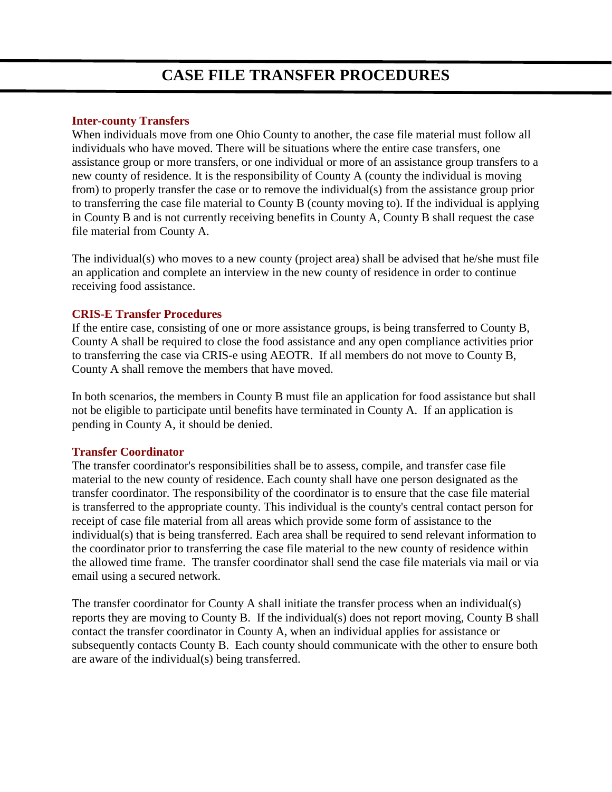# **CASE FILE TRANSFER PROCEDURES**

#### **Inter-county Transfers**

When individuals move from one Ohio County to another, the case file material must follow all individuals who have moved. There will be situations where the entire case transfers, one assistance group or more transfers, or one individual or more of an assistance group transfers to a new county of residence. It is the responsibility of County A (county the individual is moving from) to properly transfer the case or to remove the individual(s) from the assistance group prior to transferring the case file material to County B (county moving to). If the individual is applying in County B and is not currently receiving benefits in County A, County B shall request the case file material from County A.

The individual(s) who moves to a new county (project area) shall be advised that he/she must file an application and complete an interview in the new county of residence in order to continue receiving food assistance.

### **CRIS-E Transfer Procedures**

If the entire case, consisting of one or more assistance groups, is being transferred to County B, County A shall be required to close the food assistance and any open compliance activities prior to transferring the case via CRIS-e using AEOTR. If all members do not move to County B, County A shall remove the members that have moved.

In both scenarios, the members in County B must file an application for food assistance but shall not be eligible to participate until benefits have terminated in County A. If an application is pending in County A, it should be denied.

## **Transfer Coordinator**

The transfer coordinator's responsibilities shall be to assess, compile, and transfer case file material to the new county of residence. Each county shall have one person designated as the transfer coordinator. The responsibility of the coordinator is to ensure that the case file material is transferred to the appropriate county. This individual is the county's central contact person for receipt of case file material from all areas which provide some form of assistance to the individual(s) that is being transferred. Each area shall be required to send relevant information to the coordinator prior to transferring the case file material to the new county of residence within the allowed time frame. The transfer coordinator shall send the case file materials via mail or via email using a secured network.

The transfer coordinator for County A shall initiate the transfer process when an individual(s) reports they are moving to County B. If the individual(s) does not report moving, County B shall contact the transfer coordinator in County A, when an individual applies for assistance or subsequently contacts County B. Each county should communicate with the other to ensure both are aware of the individual(s) being transferred.